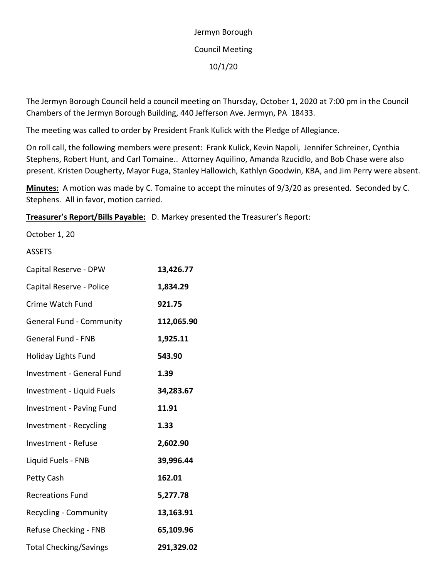## Jermyn Borough Council Meeting 10/1/20

The Jermyn Borough Council held a council meeting on Thursday, October 1, 2020 at 7:00 pm in the Council Chambers of the Jermyn Borough Building, 440 Jefferson Ave. Jermyn, PA 18433.

The meeting was called to order by President Frank Kulick with the Pledge of Allegiance.

On roll call, the following members were present: Frank Kulick, Kevin Napoli, Jennifer Schreiner, Cynthia Stephens, Robert Hunt, and Carl Tomaine.. Attorney Aquilino, Amanda Rzucidlo, and Bob Chase were also present. Kristen Dougherty, Mayor Fuga, Stanley Hallowich, Kathlyn Goodwin, KBA, and Jim Perry were absent.

**Minutes:** A motion was made by C. Tomaine to accept the minutes of 9/3/20 as presented. Seconded by C. Stephens. All in favor, motion carried.

**Treasurer's Report/Bills Payable:** D. Markey presented the Treasurer's Report:

October 1, 20

## ASSETS

| Capital Reserve - DPW            | 13,426.77  |
|----------------------------------|------------|
| Capital Reserve - Police         | 1,834.29   |
| Crime Watch Fund                 | 921.75     |
| <b>General Fund - Community</b>  | 112,065.90 |
| <b>General Fund - FNB</b>        | 1,925.11   |
| <b>Holiday Lights Fund</b>       | 543.90     |
| <b>Investment - General Fund</b> | 1.39       |
| Investment - Liquid Fuels        | 34,283.67  |
| Investment - Paving Fund         | 11.91      |
| Investment - Recycling           | 1.33       |
| <b>Investment - Refuse</b>       | 2,602.90   |
| Liquid Fuels - FNB               | 39,996.44  |
| Petty Cash                       | 162.01     |
| <b>Recreations Fund</b>          | 5,277.78   |
| Recycling - Community            | 13,163.91  |
| Refuse Checking - FNB            | 65,109.96  |
| <b>Total Checking/Savings</b>    | 291,329.02 |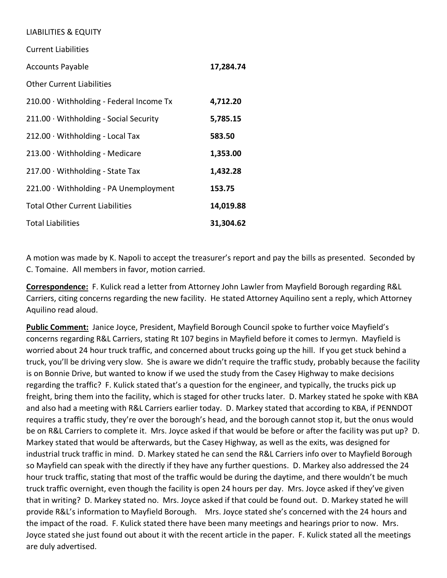## LIABILITIES & EQUITY

| <b>Current Liabilities</b>                   |           |
|----------------------------------------------|-----------|
| <b>Accounts Payable</b>                      | 17,284.74 |
| <b>Other Current Liabilities</b>             |           |
| 210.00 · Withholding - Federal Income Tx     | 4,712.20  |
| $211.00 \cdot$ Withholding - Social Security | 5,785.15  |
| $212.00 \cdot \text{Withouting - Local Tax}$ | 583.50    |
| $213.00 \cdot \text{Withouting - Medicine}$  | 1,353.00  |
| $217.00 \cdot \text{Withouting - State Tax}$ | 1,432.28  |
| 221.00 · Withholding - PA Unemployment       | 153.75    |
| <b>Total Other Current Liabilities</b>       | 14,019.88 |
| <b>Total Liabilities</b>                     | 31,304.62 |

A motion was made by K. Napoli to accept the treasurer's report and pay the bills as presented. Seconded by C. Tomaine. All members in favor, motion carried.

**Correspondence:** F. Kulick read a letter from Attorney John Lawler from Mayfield Borough regarding R&L Carriers, citing concerns regarding the new facility. He stated Attorney Aquilino sent a reply, which Attorney Aquilino read aloud.

**Public Comment:** Janice Joyce, President, Mayfield Borough Council spoke to further voice Mayfield's concerns regarding R&L Carriers, stating Rt 107 begins in Mayfield before it comes to Jermyn. Mayfield is worried about 24 hour truck traffic, and concerned about trucks going up the hill. If you get stuck behind a truck, you'll be driving very slow. She is aware we didn't require the traffic study, probably because the facility is on Bonnie Drive, but wanted to know if we used the study from the Casey Highway to make decisions regarding the traffic? F. Kulick stated that's a question for the engineer, and typically, the trucks pick up freight, bring them into the facility, which is staged for other trucks later. D. Markey stated he spoke with KBA and also had a meeting with R&L Carriers earlier today. D. Markey stated that according to KBA, if PENNDOT requires a traffic study, they're over the borough's head, and the borough cannot stop it, but the onus would be on R&L Carriers to complete it. Mrs. Joyce asked if that would be before or after the facility was put up? D. Markey stated that would be afterwards, but the Casey Highway, as well as the exits, was designed for industrial truck traffic in mind. D. Markey stated he can send the R&L Carriers info over to Mayfield Borough so Mayfield can speak with the directly if they have any further questions. D. Markey also addressed the 24 hour truck traffic, stating that most of the traffic would be during the daytime, and there wouldn't be much truck traffic overnight, even though the facility is open 24 hours per day. Mrs. Joyce asked if they've given that in writing? D. Markey stated no. Mrs. Joyce asked if that could be found out. D. Markey stated he will provide R&L's information to Mayfield Borough. Mrs. Joyce stated she's concerned with the 24 hours and the impact of the road. F. Kulick stated there have been many meetings and hearings prior to now. Mrs. Joyce stated she just found out about it with the recent article in the paper. F. Kulick stated all the meetings are duly advertised.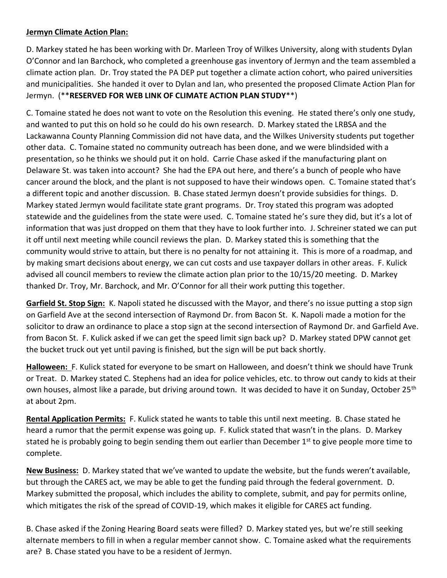## **Jermyn Climate Action Plan:**

D. Markey stated he has been working with Dr. Marleen Troy of Wilkes University, along with students Dylan O'Connor and Ian Barchock, who completed a greenhouse gas inventory of Jermyn and the team assembled a climate action plan. Dr. Troy stated the PA DEP put together a climate action cohort, who paired universities and municipalities. She handed it over to Dylan and Ian, who presented the proposed Climate Action Plan for Jermyn. (\*\***RESERVED FOR WEB LINK OF CLIMATE ACTION PLAN STUDY**\*\*)

C. Tomaine stated he does not want to vote on the Resolution this evening. He stated there's only one study, and wanted to put this on hold so he could do his own research. D. Markey stated the LRBSA and the Lackawanna County Planning Commission did not have data, and the Wilkes University students put together other data. C. Tomaine stated no community outreach has been done, and we were blindsided with a presentation, so he thinks we should put it on hold. Carrie Chase asked if the manufacturing plant on Delaware St. was taken into account? She had the EPA out here, and there's a bunch of people who have cancer around the block, and the plant is not supposed to have their windows open. C. Tomaine stated that's a different topic and another discussion. B. Chase stated Jermyn doesn't provide subsidies for things. D. Markey stated Jermyn would facilitate state grant programs. Dr. Troy stated this program was adopted statewide and the guidelines from the state were used. C. Tomaine stated he's sure they did, but it's a lot of information that was just dropped on them that they have to look further into. J. Schreiner stated we can put it off until next meeting while council reviews the plan. D. Markey stated this is something that the community would strive to attain, but there is no penalty for not attaining it. This is more of a roadmap, and by making smart decisions about energy, we can cut costs and use taxpayer dollars in other areas. F. Kulick advised all council members to review the climate action plan prior to the 10/15/20 meeting. D. Markey thanked Dr. Troy, Mr. Barchock, and Mr. O'Connor for all their work putting this together.

**Garfield St. Stop Sign:** K. Napoli stated he discussed with the Mayor, and there's no issue putting a stop sign on Garfield Ave at the second intersection of Raymond Dr. from Bacon St. K. Napoli made a motion for the solicitor to draw an ordinance to place a stop sign at the second intersection of Raymond Dr. and Garfield Ave. from Bacon St. F. Kulick asked if we can get the speed limit sign back up? D. Markey stated DPW cannot get the bucket truck out yet until paving is finished, but the sign will be put back shortly.

**Halloween:** F. Kulick stated for everyone to be smart on Halloween, and doesn't think we should have Trunk or Treat. D. Markey stated C. Stephens had an idea for police vehicles, etc. to throw out candy to kids at their own houses, almost like a parade, but driving around town. It was decided to have it on Sunday, October 25<sup>th</sup> at about 2pm.

**Rental Application Permits:** F. Kulick stated he wants to table this until next meeting. B. Chase stated he heard a rumor that the permit expense was going up. F. Kulick stated that wasn't in the plans. D. Markey stated he is probably going to begin sending them out earlier than December 1<sup>st</sup> to give people more time to complete.

**New Business:** D. Markey stated that we've wanted to update the website, but the funds weren't available, but through the CARES act, we may be able to get the funding paid through the federal government. D. Markey submitted the proposal, which includes the ability to complete, submit, and pay for permits online, which mitigates the risk of the spread of COVID-19, which makes it eligible for CARES act funding.

B. Chase asked if the Zoning Hearing Board seats were filled? D. Markey stated yes, but we're still seeking alternate members to fill in when a regular member cannot show. C. Tomaine asked what the requirements are? B. Chase stated you have to be a resident of Jermyn.